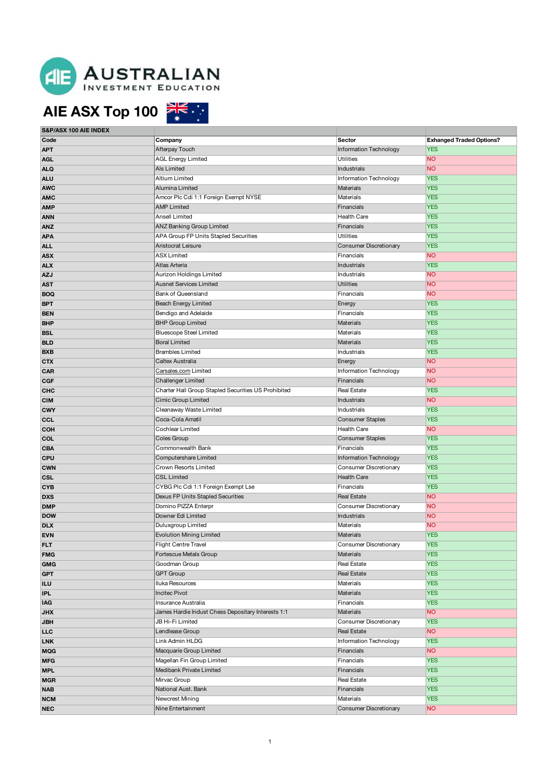

# **AIE ASX Top 100**

**S&P/ASX 100 AIE INDEX**

| Code       | Company                                             | <b>Sector</b>                 | <b>Exhanged Traded Options?</b> |
|------------|-----------------------------------------------------|-------------------------------|---------------------------------|
| APT        | Afterpay Touch                                      | Information Technology        | <b>YES</b>                      |
| AGL        | <b>AGL Energy Limited</b>                           | <b>Utilities</b>              | <b>NO</b>                       |
| ALQ        | <b>Als Limited</b>                                  | Industrials                   | <b>NO</b>                       |
| ALU        | <b>Altium Limited</b>                               | Information Technology        | <b>YES</b>                      |
| <b>AWC</b> | Alumina Limited                                     | Materials                     | <b>YES</b>                      |
| AMC        | Amcor Plc Cdi 1:1 Foreign Exempt NYSE               | Materials                     | <b>YES</b>                      |
| AMP        | <b>AMP Limited</b>                                  | Financials                    | <b>YES</b>                      |
| ANN        | <b>Ansell Limited</b>                               | <b>Health Care</b>            | <b>YES</b>                      |
| ANZ        | <b>ANZ Banking Group Limited</b>                    | Financials                    | <b>YES</b>                      |
| APA        | APA Group FP Units Stapled Securities               | <b>Utilities</b>              | <b>YES</b>                      |
| <b>ALL</b> | Aristocrat Leisure                                  | <b>Consumer Discretionary</b> | <b>YES</b>                      |
| ASX        | <b>ASX Limited</b>                                  | Financials                    | <b>NO</b>                       |
| ALX        | Atlas Arteria                                       | Industrials                   | <b>YES</b>                      |
| AZJ        | Aurizon Holdings Limited                            | Industrials                   | <b>NO</b>                       |
| AST        | <b>Ausnet Services Limited</b>                      | <b>Utilities</b>              | <b>NO</b>                       |
| BOQ        | <b>Bank of Queensland</b>                           | Financials                    | <b>NO</b>                       |
| BPT        | <b>Beach Energy Limited</b>                         | Energy                        | <b>YES</b>                      |
| BEN        | Bendigo and Adelaide                                | Financials                    | <b>YES</b>                      |
| BHP        | <b>BHP Group Limited</b>                            | <b>Materials</b>              | <b>YES</b>                      |
| BSL        | <b>Bluescope Steel Limited</b>                      | Materials                     | <b>YES</b>                      |
| BLD        | <b>Boral Limited</b>                                | <b>Materials</b>              | <b>YES</b>                      |
| BXB        | <b>Brambles Limited</b>                             | Industrials                   | <b>YES</b>                      |
| стх        | Caltex Australia                                    | Energy                        | <b>NO</b>                       |
| <b>CAR</b> | Carsales.com Limited                                | Information Technology        | <b>NO</b>                       |
| CGF        | <b>Challenger Limited</b>                           | Financials                    | <b>NO</b>                       |
| снс        | Charter Hall Group Stapled Securities US Prohibited | Real Estate                   | <b>YES</b>                      |
| CIM        | <b>Cimic Group Limited</b>                          | Industrials                   | <b>NO</b>                       |
| CWY        | Cleanaway Waste Limited                             | Industrials                   | <b>YES</b>                      |
| CCL        | Coca-Cola Amatil                                    | <b>Consumer Staples</b>       | <b>YES</b>                      |
| сон        | Cochlear Limited                                    | Health Care                   | <b>NO</b>                       |
| COL        | Coles Group                                         | <b>Consumer Staples</b>       | <b>YES</b>                      |
| CBA        | Commonwealth Bank                                   | Financials                    | <b>YES</b>                      |
| CPU        | <b>Computershare Limited</b>                        | Information Technology        | <b>YES</b>                      |
| CWN        | Crown Resorts Limited                               | Consumer Discretionary        | <b>YES</b>                      |
| CSL        | <b>CSL Limited</b>                                  | <b>Health Care</b>            | <b>YES</b>                      |
| CYB        | CYBG Plc Cdi 1:1 Foreign Exempt Lse                 | Financials                    | <b>YES</b>                      |
| DXS        | Dexus FP Units Stapled Securities                   | <b>Real Estate</b>            | <b>NO</b>                       |
| DMP        | Domino PIZZA Enterpr                                | Consumer Discretionary        | <b>NO</b>                       |
| DOW        | Downer Edi Limited                                  | Industrials                   | <b>NO</b>                       |
| <b>DLX</b> | Duluxgroup Limited                                  | Materials                     | <b>NO</b>                       |
|            | The continuation of African continuation            |                               | VFC                             |

**CBA** Commonwealth Bank Financials Financials YES **CPU** Computershare Limited **Information Technology** YES **CWN** Crown Resorts Limited Crown Resorts Consumer Discretionary YES **CSL** CSL Limited **CSL Limited CSL Communication Health Care** YES **CYB** CONSIDER CONSIDERTIFY CONSIDER THE CONSIDERT CONSIDERS THE CONSIDERT CONSIDERT CONSIDERT THE CONSIDERT CONSIDER **DXS** DEXIS REAL EXAMPLE REAL EXAMPLE TO PERSUS FP Units Stapled Securities **DEXIS Real Estate** Real Estate NO **DMP Domino PIZZA Enterpr Consumer Discretionary MO Consumer Discretionary MO DOW** DOW **DOW DOWNERGIATED INCOLLEGATION Industrials** NO **DLX** DUIUXgroup Limited Materials Materials NO **EVN EVOLUTION** Evolution Mining Limited **Evolution Mining Limited** And All Construction Materials **Materials** YES **FILT FILT FIGHT Centre Travel Consumer Discretionary YES FMG FORD ACCOUNTS ASSESSED FOR A FORD ACCOUNTS AND ACCOUNTS A RESIDENCE AND ACCOUNTS A RESIDENCE AND ACCOUNTS A RESIDENCE AND ACCOUNTS A RESIDENCE AND A RESIDENCE AND A RESIDENCE AND ACCOUNTS A RESIDENCE AND A RESIDENCE GMG** Goodman Group **Real Estate** Real Estate YES **GPT** GPT GROUP GROUP GROUP GROUP GROUP GROUP GROUP GROUP GROUP GROUP GROUP GROUP GROUP GROUP GROUP GROUP GROUP **ILU** Iluka Resources Materials YES **IPL IPL INCITEC PROPORTIVAL CONSUMING A CONSUMING A CONSUMING A CONSUMING A CONSUMING A CONSUMING A CONSUMING A CONSUMING A CONSUMING A CONSUMING A CONSUMING A CONSUMING A CONSUMING A CONSUMING A CONSUMING A CONSUMING IAG Insurance Australia Insurance Australia Financials Financials PES JHX** James Hardie Indust Chess Depositary Interests 1:1 Materials MO MO MATERIAL METALLIC METALLIC MO MO MO MO **JBH JBH JBH JBHi-Fi Limited Consumer Discretionary YES Lendlease Group Real Estate** Real Estate NO **LINK** Link Admin HLDG **Information Technology** YES **MQG** Macquarie Group Limited **Financials Financials NO MFG** Magellan Fin Group Limited **Financials** Financials **YES MPL** Medibank Private Limited **Financials** Financials **YES MGR** Mirvac Group **Real Estate** Real Estate YES **NAB NAB** National Aust. Bank **Financials Financials YES NCM** Newcrest Mining Materials Materials YES **NEC** Nine Entertainment Consumer Discretionary NO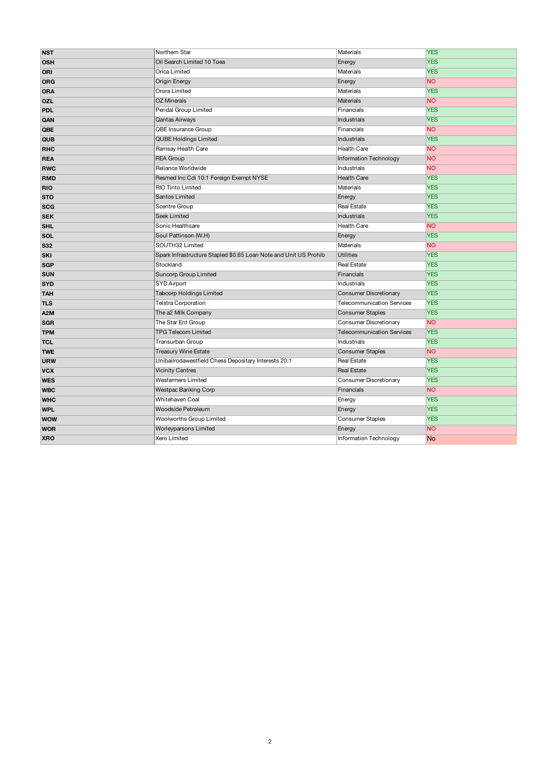|                                                                                      | <b>YES</b>                                                                                                                           |
|--------------------------------------------------------------------------------------|--------------------------------------------------------------------------------------------------------------------------------------|
| Materials<br>Energy                                                                  | <b>YES</b>                                                                                                                           |
|                                                                                      | <b>YES</b>                                                                                                                           |
|                                                                                      | <b>NO</b>                                                                                                                            |
|                                                                                      | <b>YES</b>                                                                                                                           |
|                                                                                      |                                                                                                                                      |
|                                                                                      | <b>NO</b>                                                                                                                            |
|                                                                                      | <b>YES</b>                                                                                                                           |
|                                                                                      | <b>YES</b>                                                                                                                           |
|                                                                                      | <b>NO</b>                                                                                                                            |
|                                                                                      | <b>YES</b>                                                                                                                           |
|                                                                                      | <b>NO</b>                                                                                                                            |
| Information Technology                                                               | <b>NO</b>                                                                                                                            |
| Industrials                                                                          | <b>NO</b>                                                                                                                            |
| <b>Health Care</b>                                                                   | <b>YES</b>                                                                                                                           |
| Materials                                                                            | <b>YES</b>                                                                                                                           |
| Energy                                                                               | <b>YES</b>                                                                                                                           |
| <b>Real Estate</b>                                                                   | <b>YES</b>                                                                                                                           |
| Industrials                                                                          | <b>YES</b>                                                                                                                           |
| Health Care                                                                          | <b>NO</b>                                                                                                                            |
| Energy                                                                               | <b>YES</b>                                                                                                                           |
| Materials                                                                            | <b>NO</b>                                                                                                                            |
|                                                                                      |                                                                                                                                      |
| Spark Infrastructure Stapled \$0.65 Loan Note and Unit US Prohib<br><b>Utilities</b> | <b>YES</b>                                                                                                                           |
| <b>Real Estate</b>                                                                   | <b>YES</b>                                                                                                                           |
| Financials                                                                           | <b>YES</b>                                                                                                                           |
| Industrials                                                                          | <b>YES</b>                                                                                                                           |
| <b>Consumer Discretionary</b>                                                        | <b>YES</b>                                                                                                                           |
| Telecommunication Services                                                           | <b>YES</b>                                                                                                                           |
| <b>Consumer Staples</b>                                                              | <b>YES</b>                                                                                                                           |
| <b>Consumer Discretionary</b>                                                        | <b>NO</b>                                                                                                                            |
| <b>Telecommunication Services</b>                                                    | <b>YES</b>                                                                                                                           |
| Industrials                                                                          | <b>YES</b>                                                                                                                           |
| <b>Consumer Staples</b>                                                              | <b>NO</b>                                                                                                                            |
| Real Estate                                                                          | <b>YES</b>                                                                                                                           |
| <b>Real Estate</b>                                                                   | <b>YES</b>                                                                                                                           |
| Consumer Discretionary                                                               | <b>YES</b>                                                                                                                           |
| Financials                                                                           | <b>NO</b>                                                                                                                            |
| Energy                                                                               | <b>YES</b>                                                                                                                           |
| Energy                                                                               | <b>YES</b>                                                                                                                           |
| <b>Consumer Staples</b>                                                              | <b>YES</b>                                                                                                                           |
| Energy                                                                               | <b>NO</b>                                                                                                                            |
|                                                                                      | Materials<br>Energy<br>Materials<br><b>Materials</b><br>Financials<br>Industrials<br>Financials<br><b>Industrials</b><br>Health Care |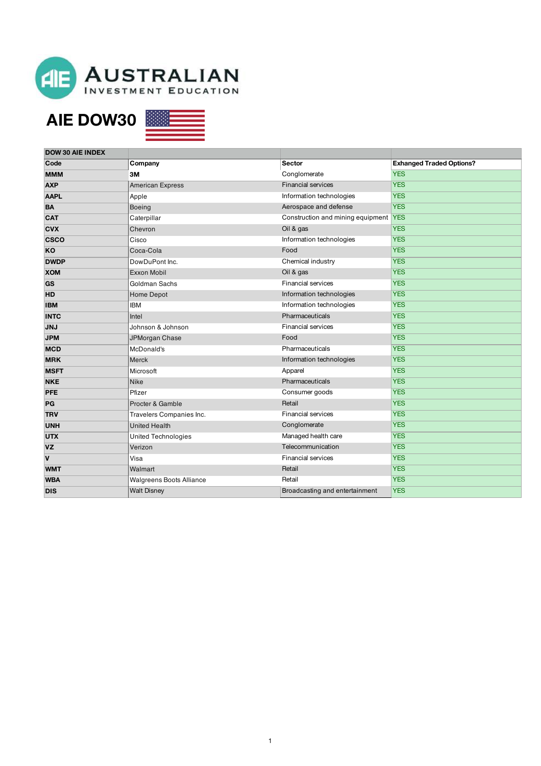

### **AIE DOW30**



| <b>DOW 30 AIE INDEX</b> |                                 |                                   |                                 |
|-------------------------|---------------------------------|-----------------------------------|---------------------------------|
| Code                    | Company                         | <b>Sector</b>                     | <b>Exhanged Traded Options?</b> |
| <b>MMM</b>              | 3M                              | Conglomerate                      | <b>YES</b>                      |
| <b>AXP</b>              | American Express                | <b>Financial services</b>         | <b>YES</b>                      |
| <b>AAPL</b>             | Apple                           | Information technologies          | <b>YES</b>                      |
| <b>BA</b>               | <b>Boeing</b>                   | Aerospace and defense             | <b>YES</b>                      |
| <b>CAT</b>              | Caterpillar                     | Construction and mining equipment | <b>YES</b>                      |
| <b>CVX</b>              | Chevron                         | Oil & gas                         | <b>YES</b>                      |
| <b>CSCO</b>             | Cisco                           | Information technologies          | <b>YES</b>                      |
| KO                      | Coca-Cola                       | Food                              | <b>YES</b>                      |
| <b>DWDP</b>             | DowDuPont Inc.                  | Chemical industry                 | <b>YES</b>                      |
| <b>XOM</b>              | Exxon Mobil                     | Oil & gas                         | <b>YES</b>                      |
| GS                      | Goldman Sachs                   | <b>Financial services</b>         | <b>YES</b>                      |
| <b>HD</b>               | Home Depot                      | Information technologies          | <b>YES</b>                      |
| <b>IBM</b>              | <b>IBM</b>                      | Information technologies          | <b>YES</b>                      |
| <b>INTC</b>             | Intel                           | Pharmaceuticals                   | <b>YES</b>                      |
| <b>JNJ</b>              | Johnson & Johnson               | <b>Financial services</b>         | <b>YES</b>                      |
| <b>JPM</b>              | JPMorgan Chase                  | Food                              | <b>YES</b>                      |
| <b>MCD</b>              | McDonald's                      | Pharmaceuticals                   | <b>YES</b>                      |
| <b>MRK</b>              | Merck                           | Information technologies          | <b>YES</b>                      |
| <b>MSFT</b>             | Microsoft                       | Apparel                           | <b>YES</b>                      |
| <b>NKE</b>              | <b>Nike</b>                     | Pharmaceuticals                   | <b>YES</b>                      |
| PFE                     | Pfizer                          | Consumer goods                    | <b>YES</b>                      |
| PG                      | Procter & Gamble                | Retail                            | <b>YES</b>                      |
| <b>TRV</b>              | Travelers Companies Inc.        | <b>Financial services</b>         | <b>YES</b>                      |
| <b>UNH</b>              | <b>United Health</b>            | Conglomerate                      | <b>YES</b>                      |
| <b>UTX</b>              | <b>United Technologies</b>      | Managed health care               | <b>YES</b>                      |
| <b>VZ</b>               | Verizon                         | Telecommunication                 | <b>YES</b>                      |
| $\mathbf v$             | Visa                            | <b>Financial services</b>         | <b>YES</b>                      |
| <b>WMT</b>              | Walmart                         | Retail                            | <b>YES</b>                      |
| <b>WBA</b>              | <b>Walgreens Boots Alliance</b> | Retail                            | <b>YES</b>                      |
| <b>DIS</b>              | <b>Walt Disney</b>              | Broadcasting and entertainment    | <b>YES</b>                      |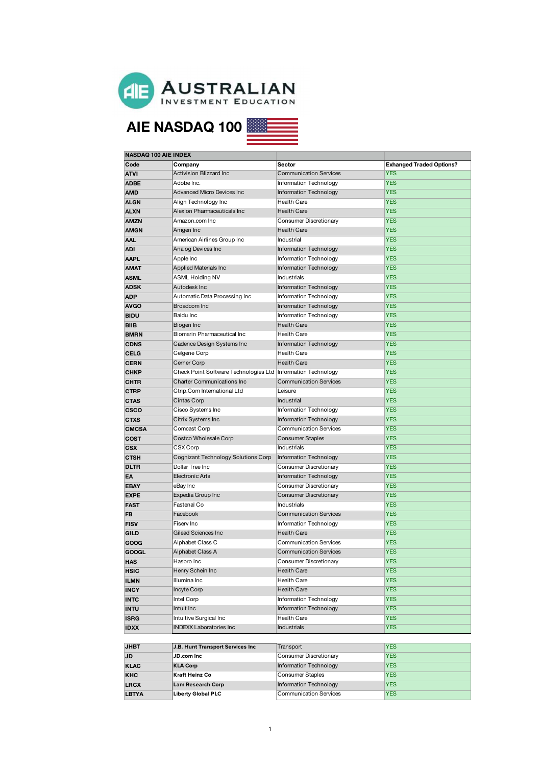

# **AIE NASDAQ 100**

| <b>NASDAQ 100 AIE INDEX</b> |                                                                |                               |                                 |
|-----------------------------|----------------------------------------------------------------|-------------------------------|---------------------------------|
| Code                        | Company                                                        | Sector                        | <b>Exhanged Traded Options?</b> |
| <b>ATVI</b>                 | <b>Activision Blizzard Inc</b>                                 | <b>Communication Services</b> | <b>YES</b>                      |
| <b>ADBE</b>                 | Adobe Inc.                                                     | Information Technology        | <b>YES</b>                      |
| <b>AMD</b>                  | <b>Advanced Micro Devices Inc</b>                              | Information Technology        | <b>YES</b>                      |
| ALGN                        | Align Technology Inc                                           | Health Care                   | <b>YES</b>                      |
| <b>ALXN</b>                 | Alexion Pharmaceuticals Inc                                    | <b>Health Care</b>            | <b>YES</b>                      |
| <b>AMZN</b>                 | Amazon.com Inc                                                 | Consumer Discretionary        | <b>YES</b>                      |
| <b>AMGN</b>                 | Amgen Inc                                                      | <b>Health Care</b>            | <b>YES</b>                      |
| <b>AAL</b>                  | American Airlines Group Inc                                    | Industrial                    | <b>YES</b>                      |
| <b>ADI</b>                  | Analog Devices Inc                                             | <b>Information Technology</b> | <b>YES</b>                      |
| <b>AAPL</b>                 | Apple Inc                                                      | Information Technology        | <b>YES</b>                      |
| <b>AMAT</b>                 | Applied Materials Inc                                          | <b>Information Technology</b> | <b>YES</b>                      |
| <b>ASML</b>                 | <b>ASML Holding NV</b>                                         | Industrials                   | <b>YES</b>                      |
| <b>ADSK</b>                 | Autodesk Inc                                                   | <b>Information Technology</b> | <b>YES</b>                      |
| <b>ADP</b>                  | Automatic Data Processing Inc                                  | Information Technology        | <b>YES</b>                      |
| <b>AVGO</b>                 | Broadcom Inc                                                   | Information Technology        | <b>YES</b>                      |
| <b>BIDU</b>                 | Baidu Inc                                                      | Information Technology        | <b>YES</b>                      |
| <b>BIIB</b>                 | Biogen Inc                                                     | <b>Health Care</b>            | <b>YES</b>                      |
| <b>BMRN</b>                 | Biomarin Pharmaceutical Inc                                    | <b>Health Care</b>            | <b>YES</b>                      |
| <b>CDNS</b>                 | Cadence Design Systems Inc                                     | <b>Information Technology</b> | <b>YES</b>                      |
| <b>CELG</b>                 | Celgene Corp                                                   | Health Care                   | <b>YES</b>                      |
| <b>CERN</b>                 | Cerner Corp                                                    | <b>Health Care</b>            | <b>YES</b>                      |
|                             | Check Point Software Technologies Ltd   Information Technology |                               | <b>YES</b>                      |
| <b>CHKP</b>                 | <b>Charter Communications Inc</b>                              | <b>Communication Services</b> | <b>YES</b>                      |
| <b>CHTR</b>                 |                                                                |                               |                                 |
| <b>CTRP</b>                 | Ctrip.Com International Ltd                                    | Leisure                       | <b>YES</b>                      |
| <b>CTAS</b>                 | Cintas Corp                                                    | Industrial                    | <b>YES</b>                      |
| <b>CSCO</b>                 | Cisco Systems Inc                                              | Information Technology        | <b>YES</b>                      |
| <b>CTXS</b>                 | Citrix Systems Inc                                             | <b>Information Technology</b> | <b>YES</b>                      |
| <b>CMCSA</b>                | Comcast Corp                                                   | <b>Communication Services</b> | <b>YES</b>                      |
| <b>COST</b>                 | Costco Wholesale Corp                                          | <b>Consumer Staples</b>       | <b>YES</b>                      |
| <b>CSX</b>                  | CSX Corp                                                       | Industrials                   | <b>YES</b>                      |
| <b>CTSH</b>                 | Cognizant Technology Solutions Corp                            | <b>Information Technology</b> | <b>YES</b>                      |
| <b>DLTR</b>                 | Dollar Tree Inc                                                | Consumer Discretionary        | <b>YES</b>                      |
| EA                          | <b>Electronic Arts</b>                                         | <b>Information Technology</b> | <b>YES</b>                      |
| <b>EBAY</b>                 | eBay Inc                                                       | Consumer Discretionary        | <b>YES</b>                      |
| <b>EXPE</b>                 | Expedia Group Inc                                              | Consumer Discretionary        | <b>YES</b>                      |
| <b>FAST</b>                 | Fastenal Co                                                    | Industrials                   | <b>YES</b>                      |
| <b>FB</b>                   | Facebook                                                       | <b>Communication Services</b> | <b>YES</b>                      |
| <b>FISV</b>                 | Fiserv Inc                                                     | <b>Information Technology</b> | <b>YES</b>                      |
| GILD                        | Gilead Sciences Inc                                            | <b>Health Care</b>            | <b>YES</b>                      |
| GOOG                        | Alphabet Class C                                               | <b>Communication Services</b> | <b>YES</b>                      |
| <b>GOOGL</b>                | Alphabet Class A                                               | <b>Communication Services</b> | <b>YES</b>                      |
| <b>HAS</b>                  | Hasbro Inc                                                     | Consumer Discretionary        | YES                             |
| <b>HSIC</b>                 | Henry Schein Inc                                               | Health Care                   | <b>YES</b>                      |
| <b>ILMN</b>                 | Illumina Inc                                                   | Health Care                   | <b>YES</b>                      |
| <b>INCY</b>                 | Incyte Corp                                                    | Health Care                   | <b>YES</b>                      |
| <b>INTC</b>                 | Intel Corp                                                     | Information Technology        | <b>YES</b>                      |
| <b>INTU</b>                 | Intuit Inc                                                     | Information Technology        | <b>YES</b>                      |
| <b>ISRG</b>                 | Intuitive Surgical Inc                                         | Health Care                   | <b>YES</b>                      |
| <b>IDXX</b>                 | <b>INDEXX Laboratories Inc</b>                                 | <b>Industrials</b>            | <b>YES</b>                      |
|                             |                                                                |                               |                                 |
| <b>JHBT</b>                 | J.B. Hunt Transport Services Inc                               | Transport                     | <b>YES</b>                      |
| JD                          | JD.com Inc                                                     | Consumer Discretionary        | <b>YES</b>                      |
| KLAC                        | <b>KLA Corp</b>                                                | Information Technology        | <b>YES</b>                      |
| <b>KHC</b>                  | Kraft Heinz Co                                                 | <b>Consumer Staples</b>       | <b>YES</b>                      |
| <b>LRCX</b>                 | <b>Lam Research Corp</b>                                       | <b>Information Technology</b> | <b>YES</b>                      |
| <b>LBTYA</b>                | <b>Liberty Global PLC</b>                                      | <b>Communication Services</b> | <b>YES</b>                      |
|                             |                                                                |                               |                                 |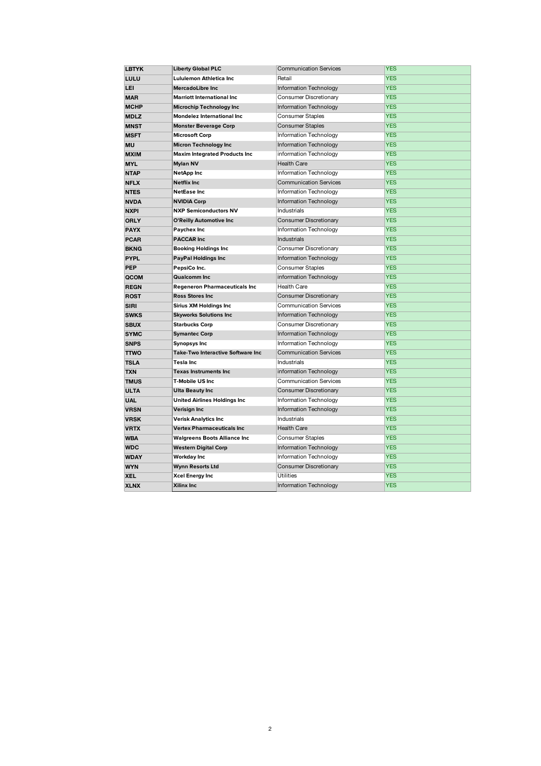| <b>LBTYK</b> | <b>Liberty Global PLC</b>                | <b>Communication Services</b> | <b>YES</b> |
|--------------|------------------------------------------|-------------------------------|------------|
| LULU         | Lululemon Athletica Inc                  | Retail                        | <b>YES</b> |
| <b>LEI</b>   | <b>MercadoLibre Inc</b>                  | <b>Information Technology</b> | <b>YES</b> |
| <b>MAR</b>   | <b>Marriott International Inc</b>        | Consumer Discretionary        | <b>YES</b> |
| <b>MCHP</b>  | Microchip Technology Inc                 | Information Technology        | <b>YES</b> |
| <b>MDLZ</b>  | Mondelez International Inc               | <b>Consumer Staples</b>       | <b>YES</b> |
| <b>MNST</b>  | <b>Monster Beverage Corp</b>             | <b>Consumer Staples</b>       | <b>YES</b> |
| <b>MSFT</b>  | <b>Microsoft Corp</b>                    | Information Technology        | <b>YES</b> |
| MU           | <b>Micron Technology Inc</b>             | Information Technology        | <b>YES</b> |
| <b>MXIM</b>  | <b>Maxim Integrated Products Inc</b>     | information Technology        | <b>YES</b> |
| <b>MYL</b>   | <b>Mylan NV</b>                          | <b>Health Care</b>            | <b>YES</b> |
| <b>NTAP</b>  | <b>NetApp Inc</b>                        | Information Technology        | <b>YES</b> |
| <b>NFLX</b>  | <b>Netflix Inc</b>                       | <b>Communication Services</b> | <b>YES</b> |
| <b>NTES</b>  | <b>NetEase Inc</b>                       | <b>Information Technology</b> | <b>YES</b> |
| <b>NVDA</b>  | <b>NVIDIA Corp</b>                       | <b>Information Technology</b> | <b>YES</b> |
| <b>NXPI</b>  | <b>NXP Semiconductors NV</b>             | Industrials                   | <b>YES</b> |
| <b>ORLY</b>  | O'Reilly Automotive Inc                  | <b>Consumer Discretionary</b> | <b>YES</b> |
| <b>PAYX</b>  | Paychex Inc                              | Information Technology        | <b>YES</b> |
| <b>PCAR</b>  | <b>PACCAR Inc</b>                        | <b>Industrials</b>            | <b>YES</b> |
| <b>BKNG</b>  | <b>Booking Holdings Inc</b>              | Consumer Discretionary        | <b>YES</b> |
| <b>PYPL</b>  | <b>PayPal Holdings Inc</b>               | <b>Information Technology</b> | <b>YES</b> |
| <b>PEP</b>   | PepsiCo Inc.                             | <b>Consumer Staples</b>       | <b>YES</b> |
| QCOM         | <b>Qualcomm Inc</b>                      | information Technology        | <b>YES</b> |
| <b>REGN</b>  | <b>Regeneron Pharmaceuticals Inc</b>     | <b>Health Care</b>            | <b>YES</b> |
| <b>ROST</b>  | <b>Ross Stores Inc</b>                   | <b>Consumer Discretionary</b> | <b>YES</b> |
| <b>SIRI</b>  | Sirius XM Holdings Inc                   | <b>Communication Services</b> | <b>YES</b> |
| <b>SWKS</b>  | <b>Skyworks Solutions Inc</b>            | Information Technology        | <b>YES</b> |
| <b>SBUX</b>  | <b>Starbucks Corp</b>                    | Consumer Discretionary        | <b>YES</b> |
| <b>SYMC</b>  | <b>Symantec Corp</b>                     | <b>Information Technology</b> | <b>YES</b> |
| <b>SNPS</b>  | <b>Synopsys Inc</b>                      | Information Technology        | <b>YES</b> |
| <b>TTWO</b>  | <b>Take-Two Interactive Software Inc</b> | <b>Communication Services</b> | <b>YES</b> |
| <b>TSLA</b>  | Tesla Inc                                | <b>Industrials</b>            | <b>YES</b> |
| <b>TXN</b>   | <b>Texas Instruments Inc</b>             | information Technology        | <b>YES</b> |
| <b>TMUS</b>  | T-Mobile US Inc                          | <b>Communication Services</b> | <b>YES</b> |
| <b>ULTA</b>  | <b>Ulta Beauty Inc</b>                   | <b>Consumer Discretionary</b> | <b>YES</b> |
| <b>UAL</b>   | <b>United Airlines Holdings Inc</b>      | Information Technology        | <b>YES</b> |
| <b>VRSN</b>  | <b>Verisign Inc</b>                      | <b>Information Technology</b> | <b>YES</b> |
| <b>VRSK</b>  | <b>Verisk Analytics Inc</b>              | <b>Industrials</b>            | <b>YES</b> |
| <b>VRTX</b>  | <b>Vertex Pharmaceuticals Inc</b>        | <b>Health Care</b>            | <b>YES</b> |
| <b>WBA</b>   | <b>Walgreens Boots Alliance Inc</b>      | <b>Consumer Staples</b>       | <b>YES</b> |
| <b>WDC</b>   | <b>Western Digital Corp</b>              | <b>Information Technology</b> | <b>YES</b> |
| <b>WDAY</b>  | Workday Inc                              | <b>Information Technology</b> | <b>YES</b> |
| <b>WYN</b>   | <b>Wynn Resorts Ltd</b>                  | Consumer Discretionary        | <b>YES</b> |
| <b>XEL</b>   | Xcel Energy Inc                          | <b>Utilities</b>              | <b>YES</b> |
| <b>XLNX</b>  | Xilinx Inc                               | <b>Information Technology</b> | <b>YES</b> |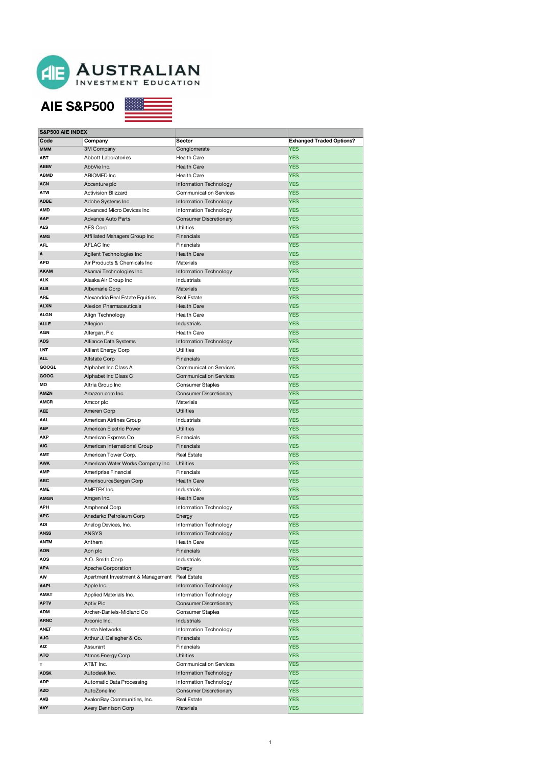

接線

#### **AIE S&P500**

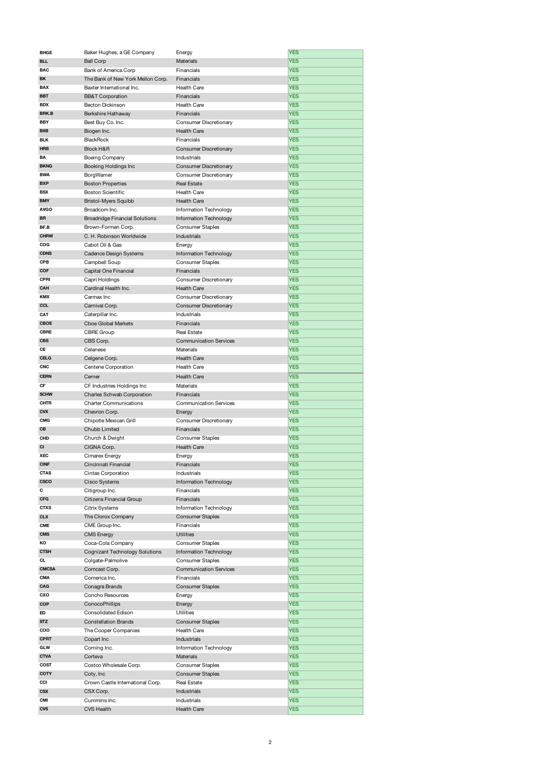| <b>BHGE</b>  | Baker Hughes, a GE Company            | Energy                        | <b>YES</b> |
|--------------|---------------------------------------|-------------------------------|------------|
| <b>BLL</b>   | <b>Ball Corp</b>                      | Materials                     | <b>YES</b> |
| <b>BAC</b>   | Bank of America Corp                  | Financials                    | <b>YES</b> |
| BK           | The Bank of New York Mellon Corp.     | Financials                    | <b>YES</b> |
| BAX          | Baxter International Inc.             | Health Care                   | <b>YES</b> |
| <b>BBT</b>   |                                       | Financials                    |            |
|              | <b>BB&amp;T</b> Corporation           |                               | <b>YES</b> |
| <b>BDX</b>   | <b>Becton Dickinson</b>               | Health Care                   | <b>YES</b> |
| <b>BRK.B</b> | Berkshire Hathaway                    | Financials                    | <b>YES</b> |
| <b>BBY</b>   | Best Buy Co. Inc.                     | Consumer Discretionary        | <b>YES</b> |
| <b>BIIB</b>  | Biogen Inc.                           | <b>Health Care</b>            | <b>YES</b> |
| <b>BLK</b>   | BlackRock                             | Financials                    | <b>YES</b> |
| HRB          | Block H&R                             | <b>Consumer Discretionary</b> | <b>YES</b> |
| BA           | Boeing Company                        | Industrials                   | <b>YES</b> |
|              |                                       |                               |            |
| <b>BKNG</b>  | Booking Holdings Inc                  | <b>Consumer Discretionary</b> | <b>YES</b> |
| <b>BWA</b>   | BorgWarner                            | Consumer Discretionary        | <b>YES</b> |
| <b>BXP</b>   | <b>Boston Properties</b>              | <b>Real Estate</b>            | <b>YES</b> |
| BSX          | <b>Boston Scientific</b>              | Health Care                   | <b>YES</b> |
| <b>BMY</b>   | <b>Bristol-Myers Squibb</b>           | <b>Health Care</b>            | <b>YES</b> |
| <b>AVGO</b>  | Broadcom Inc.                         | Information Technology        | <b>YES</b> |
| BR           | <b>Broadridge Financial Solutions</b> | Information Technology        | <b>YES</b> |
| BF.B         |                                       | <b>Consumer Staples</b>       | <b>YES</b> |
|              | Brown-Forman Corp.                    |                               |            |
| <b>CHRW</b>  | C. H. Robinson Worldwide              | Industrials                   | <b>YES</b> |
| COG          | Cabot Oil & Gas                       | Energy                        | <b>YES</b> |
| <b>CDNS</b>  | Cadence Design Systems                | Information Technology        | <b>YES</b> |
| CPB          | Campbell Soup                         | <b>Consumer Staples</b>       | <b>YES</b> |
| COF          | Capital One Financial                 | Financials                    | <b>YES</b> |
| CPRI         | Capri Holdings                        | Consumer Discretionary        | <b>YES</b> |
|              |                                       |                               |            |
| CAH          | Cardinal Health Inc.                  | <b>Health Care</b>            | <b>YES</b> |
| KMX          | Carmax Inc                            | Consumer Discretionary        | <b>YES</b> |
| CCL          | Carnival Corp.                        | <b>Consumer Discretionary</b> | <b>YES</b> |
| CAT          | Caterpillar Inc.                      | Industrials                   | <b>YES</b> |
| CBOE         | <b>Cboe Global Markets</b>            | Financials                    | YES        |
| CBRE         | CBRE Group                            | Real Estate                   | <b>YES</b> |
| <b>CBS</b>   | CBS Corp.                             | <b>Communication Services</b> | <b>YES</b> |
| СE           |                                       |                               |            |
|              | Celanese                              | Materials                     | <b>YES</b> |
| <b>CELG</b>  | Celgene Corp.                         | <b>Health Care</b>            | <b>YES</b> |
| CNC          | Centene Corporation                   | Health Care                   | <b>YES</b> |
| <b>CERN</b>  | Cerner                                | <b>Health Care</b>            | <b>YES</b> |
| СF           | CF Industries Holdings Inc            | Materials                     | <b>YES</b> |
| <b>SCHW</b>  | Charles Schwab Corporation            | Financials                    | <b>YES</b> |
| CHTR         | <b>Charter Communications</b>         | <b>Communication Services</b> | <b>YES</b> |
|              |                                       |                               |            |
| <b>CVX</b>   | Chevron Corp.                         | Energy                        | <b>YES</b> |
| <b>CMG</b>   | Chipotle Mexican Grill                | Consumer Discretionary        | <b>YES</b> |
| CВ           | Chubb Limited                         | Financials                    |            |
|              |                                       |                               | YES        |
| CHD          | Church & Dwight                       | <b>Consumer Staples</b>       | <b>YES</b> |
| CI           | CIGNA Corp.                           | <b>Health Care</b>            | <b>YES</b> |
| XEC          |                                       |                               | <b>YES</b> |
|              | Cimarex Energy                        | Energy                        |            |
| <b>CINF</b>  | Cincinnati Financial                  | Financials                    | <b>YES</b> |
| CTAS         | Cintas Corporation                    | Industrials                   | <b>YES</b> |
| CSCO         | <b>Cisco Systems</b>                  | Information Technology        | <b>YES</b> |
| С            | Citigroup Inc.                        | Financials                    | <b>YES</b> |
| CFG          | Citizens Financial Group              | Financials                    | <b>YES</b> |
| <b>CTXS</b>  | Citrix Systems                        | Information Technology        | <b>YES</b> |
| <b>CLX</b>   | The Clorox Company                    | <b>Consumer Staples</b>       | <b>YES</b> |
| CME          | CME Group Inc.                        | Financials                    | <b>YES</b> |
|              |                                       |                               |            |
| <b>CMS</b>   | <b>CMS Energy</b>                     | <b>Utilities</b>              | <b>YES</b> |
| ΚO           | Coca-Cola Company                     | Consumer Staples              | <b>YES</b> |
| CTSH         | <b>Cognizant Technology Solutions</b> | Information Technology        | <b>YES</b> |
| CL           | Colgate-Palmolive                     | <b>Consumer Staples</b>       | <b>YES</b> |
| <b>CMCSA</b> | Comcast Corp.                         | <b>Communication Services</b> | <b>YES</b> |
| CMA          | Comerica Inc.                         | Financials                    | <b>YES</b> |
| CAG          | Conagra Brands                        | <b>Consumer Staples</b>       | <b>YES</b> |
| CXO          |                                       |                               |            |
|              | Concho Resources                      | Energy                        | <b>YES</b> |
| COP          | ConocoPhillips                        | Energy                        | <b>YES</b> |
| ED           | Consolidated Edison                   | <b>Utilities</b>              | <b>YES</b> |
| <b>STZ</b>   | <b>Constellation Brands</b>           | <b>Consumer Staples</b>       | <b>YES</b> |
| coo          | The Cooper Companies                  | Health Care                   | <b>YES</b> |
| CPRT         | Copart Inc                            | Industrials                   | <b>YES</b> |
| GLW          | Corning Inc.                          | Information Technology        | <b>YES</b> |
| <b>CTVA</b>  |                                       | Materials                     |            |
|              | Corteva                               |                               | <b>YES</b> |
| COST         | Costco Wholesale Corp.                | <b>Consumer Staples</b>       | <b>YES</b> |
| COTY         | Coty, Inc.                            | <b>Consumer Staples</b>       | <b>YES</b> |
| CCI          | Crown Castle International Corp.      | Real Estate                   | <b>YES</b> |
| <b>CSX</b>   | CSX Corp.                             | Industrials                   | <b>YES</b> |
| CMI          | Cummins Inc.                          | Industrials                   | <b>YES</b> |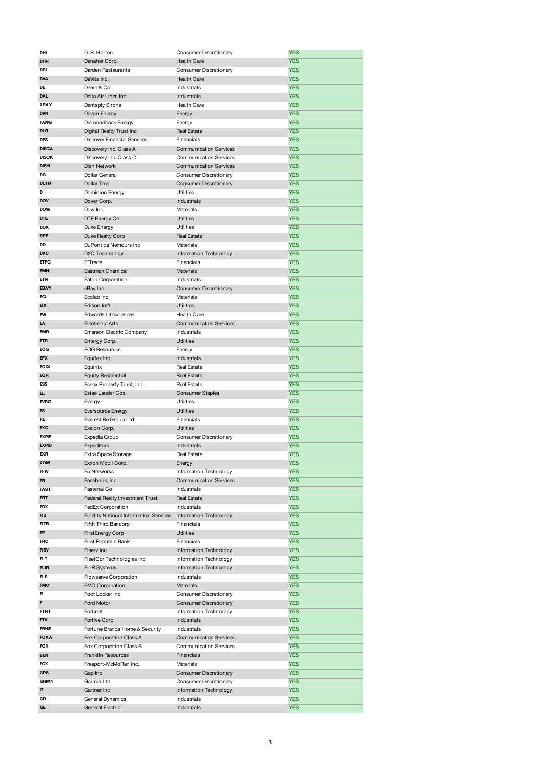| DHI          | D. R. Horton                                  | Consumer Discretionary        | <b>YES</b> |
|--------------|-----------------------------------------------|-------------------------------|------------|
| <b>DHR</b>   | Danaher Corp.                                 | <b>Health Care</b>            | <b>YES</b> |
| DRI          | Darden Restaurants                            | Consumer Discretionary        | YES        |
| <b>DVA</b>   | DaVita Inc.                                   | <b>Health Care</b>            | <b>YES</b> |
| DE           | Deere & Co.                                   | Industrials                   | <b>YES</b> |
| <b>DAL</b>   | Delta Air Lines Inc.                          | Industrials                   | <b>YES</b> |
| <b>XRAY</b>  |                                               |                               |            |
|              | Dentsply Sirona                               | Health Care                   | <b>YES</b> |
| <b>DVN</b>   | Devon Energy                                  | Energy                        | YES        |
| <b>FANG</b>  | Diamondback Energy                            | Energy                        | <b>YES</b> |
| <b>DLR</b>   | Digital Realty Trust Inc                      | <b>Real Estate</b>            | <b>YES</b> |
| <b>DFS</b>   | <b>Discover Financial Services</b>            | Financials                    | <b>YES</b> |
| <b>DISCA</b> | Discovery Inc. Class A                        | <b>Communication Services</b> | <b>YES</b> |
| <b>DISCK</b> | Discovery Inc. Class C                        | <b>Communication Services</b> | YES        |
| <b>DISH</b>  | Dish Network                                  | <b>Communication Services</b> | <b>YES</b> |
| DG           | Dollar General                                | Consumer Discretionary        | <b>YES</b> |
| <b>DLTR</b>  | <b>Dollar Tree</b>                            | Consumer Discretionary        | <b>YES</b> |
| D            | Dominion Energy                               | Utilities                     | <b>YES</b> |
| <b>DOV</b>   | Dover Corp.                                   | Industrials                   | YES        |
| <b>DOW</b>   |                                               |                               |            |
|              | Dow Inc.                                      | Materials                     | <b>YES</b> |
| <b>DTE</b>   | DTE Energy Co.                                | <b>Utilities</b>              | <b>YES</b> |
| <b>DUK</b>   | Duke Energy                                   | <b>Utilities</b>              | <b>YES</b> |
| <b>DRE</b>   | Duke Realty Corp                              | <b>Real Estate</b>            | <b>YES</b> |
| DD           | DuPont de Nemours Inc                         | Materials                     | YES        |
| <b>DXC</b>   | DXC Technology                                | Information Technology        | <b>YES</b> |
| <b>ETFC</b>  | E*Trade                                       | Financials                    | <b>YES</b> |
| <b>EMN</b>   | Eastman Chemical                              | <b>Materials</b>              | <b>YES</b> |
| ETN          | Eaton Corporation                             | Industrials                   | <b>YES</b> |
| <b>EBAY</b>  | eBay Inc.                                     | Consumer Discretionary        | YES        |
| ECL          | Ecolab Inc.                                   | Materials                     | <b>YES</b> |
| <b>EIX</b>   | Edison Int'l                                  | <b>Utilities</b>              | <b>YES</b> |
|              |                                               |                               |            |
| EW           | Edwards Lifesciences                          | <b>Health Care</b>            | <b>YES</b> |
| EA           | <b>Electronic Arts</b>                        | <b>Communication Services</b> | <b>YES</b> |
| <b>EMR</b>   | Emerson Electric Company                      | Industrials                   | YES        |
| <b>ETR</b>   | Entergy Corp.                                 | <b>Utilities</b>              | <b>YES</b> |
| <b>EOG</b>   | <b>EOG Resources</b>                          | Energy                        | <b>YES</b> |
| <b>EFX</b>   | Equifax Inc.                                  | Industrials                   | <b>YES</b> |
| <b>EQIX</b>  | Equinix                                       | Real Estate                   | <b>YES</b> |
| <b>EQR</b>   | <b>Equity Residential</b>                     | <b>Real Estate</b>            | <b>YES</b> |
| <b>ESS</b>   | Essex Property Trust, Inc.                    | Real Estate                   | <b>YES</b> |
| EL.          | Estee Lauder Cos.                             | <b>Consumer Staples</b>       | <b>YES</b> |
| <b>EVRG</b>  | Evergy                                        | <b>Utilities</b>              | <b>YES</b> |
| ES           |                                               | <b>Utilities</b>              | <b>YES</b> |
|              | Eversource Energy                             |                               |            |
| RE           | Everest Re Group Ltd.                         | Financials                    | <b>YES</b> |
| <b>EXC</b>   | Exelon Corp.                                  | <b>Utilities</b>              | <b>YES</b> |
| <b>EXPE</b>  | Expedia Group                                 | Consumer Discretionary        | <b>YES</b> |
| <b>EXPD</b>  | <b>Expeditors</b>                             | Industrials                   | <b>YES</b> |
| EXR          | Extra Space Storage                           | Real Estate                   | <b>YES</b> |
| XOM          | Exxon Mobil Corp.                             |                               |            |
|              |                                               | Energy                        | <b>YES</b> |
| <b>FFIV</b>  | F5 Networks                                   | Information Technology        | <b>YES</b> |
| FB           | Facebook, Inc.                                | <b>Communication Services</b> | <b>YES</b> |
| FAST         | Fastenal Co                                   | Industrials                   | <b>YES</b> |
| <b>FRT</b>   | Federal Realty Investment Trust               | <b>Real Estate</b>            | <b>YES</b> |
| FDX          |                                               | Industrials                   |            |
|              | FedEx Corporation                             |                               | <b>YES</b> |
| <b>FIS</b>   | <b>Fidelity National Information Services</b> | Information Technology        | <b>YES</b> |
| <b>FITB</b>  | Fifth Third Bancorp                           | Financials                    | <b>YES</b> |
| FE           | FirstEnergy Corp                              | <b>Utilities</b>              | <b>YES</b> |
| FRC          | First Republic Bank                           | Financials                    | <b>YES</b> |
| <b>FISV</b>  | Fiserv Inc                                    | <b>Information Technology</b> | <b>YES</b> |
| <b>FLT</b>   | FleetCor Technologies Inc                     | Information Technology        | <b>YES</b> |
| <b>FLIR</b>  | <b>FLIR Systems</b>                           | Information Technology        | <b>YES</b> |
| FLS          | Flowserve Corporation                         | Industrials                   | <b>YES</b> |
| <b>FMC</b>   | <b>FMC Corporation</b>                        | Materials                     | <b>YES</b> |
| FL           | Foot Locker Inc                               | Consumer Discretionary        | <b>YES</b> |
| F            | Ford Motor                                    | Consumer Discretionary        | <b>YES</b> |
| FTNT         | Fortinet                                      | Information Technology        | <b>YES</b> |
| <b>FTV</b>   |                                               |                               |            |
|              | Fortive Corp                                  | Industrials                   | <b>YES</b> |
| <b>FBHS</b>  | Fortune Brands Home & Security                | Industrials                   | <b>YES</b> |
| <b>FOXA</b>  | Fox Corporation Class A                       | <b>Communication Services</b> | <b>YES</b> |
| <b>FOX</b>   | Fox Corporation Class B                       | <b>Communication Services</b> | <b>YES</b> |
| <b>BEN</b>   | Franklin Resources                            | Financials                    | <b>YES</b> |
| FCX          | Freeport-McMoRan Inc.                         | Materials                     | <b>YES</b> |
| <b>GPS</b>   | Gap Inc.                                      | <b>Consumer Discretionary</b> | <b>YES</b> |
| <b>GRMN</b>  | Garmin Ltd.                                   | Consumer Discretionary        | <b>YES</b> |
| IT           | Gartner Inc                                   | Information Technology        | <b>YES</b> |
| GD           | General Dynamics                              | Industrials                   | <b>YES</b> |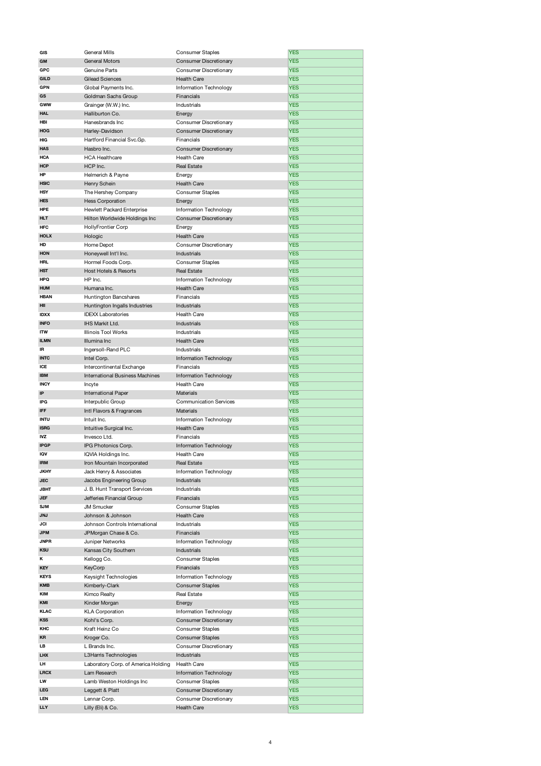| GIS         | General Mills                          | <b>Consumer Staples</b>                      | <b>YES</b>               |
|-------------|----------------------------------------|----------------------------------------------|--------------------------|
| GM          | <b>General Motors</b>                  | <b>Consumer Discretionary</b>                | <b>YES</b>               |
| GPC         | Genuine Parts                          | Consumer Discretionary                       | <b>YES</b>               |
| <b>GILD</b> | Gilead Sciences                        | <b>Health Care</b>                           | <b>YES</b>               |
| GPN         | Global Payments Inc.                   | Information Technology                       | <b>YES</b>               |
| GS          |                                        |                                              | <b>YES</b>               |
|             | Goldman Sachs Group                    | Financials                                   |                          |
| GWW         | Grainger (W.W.) Inc.                   | Industrials                                  | <b>YES</b>               |
| HAL         | Halliburton Co.                        | Energy                                       | <b>YES</b>               |
| HBI         | Hanesbrands Inc                        | Consumer Discretionary                       | <b>YES</b>               |
| HOG         | Harley-Davidson                        | <b>Consumer Discretionary</b>                | <b>YES</b>               |
| HIG         | Hartford Financial Svc.Gp.             | Financials                                   | <b>YES</b>               |
| <b>HAS</b>  | Hasbro Inc.                            | <b>Consumer Discretionary</b>                | <b>YES</b>               |
| HCA         | <b>HCA Healthcare</b>                  | Health Care                                  | <b>YES</b>               |
|             |                                        |                                              |                          |
| <b>HCP</b>  | HCP Inc.                               | <b>Real Estate</b>                           | <b>YES</b>               |
| HP          | Helmerich & Payne                      | Energy                                       | <b>YES</b>               |
| <b>HSIC</b> | Henry Schein                           | <b>Health Care</b>                           | <b>YES</b>               |
| HSY         | The Hershey Company                    | <b>Consumer Staples</b>                      | <b>YES</b>               |
| <b>HES</b>  | <b>Hess Corporation</b>                | Energy                                       | <b>YES</b>               |
| HPE         | Hewlett Packard Enterprise             | Information Technology                       | <b>YES</b>               |
| <b>HLT</b>  | Hilton Worldwide Holdings Inc          | <b>Consumer Discretionary</b>                | <b>YES</b>               |
|             |                                        |                                              |                          |
| HFC         | <b>HollyFrontier Corp</b>              | Energy                                       | <b>YES</b>               |
| <b>HOLX</b> | Hologic                                | <b>Health Care</b>                           | <b>YES</b>               |
| HD          | Home Depot                             | Consumer Discretionary                       | <b>YES</b>               |
| <b>HON</b>  | Honeywell Int'l Inc.                   | Industrials                                  | <b>YES</b>               |
| HRL         | Hormel Foods Corp.                     | <b>Consumer Staples</b>                      | <b>YES</b>               |
| <b>HST</b>  | <b>Host Hotels &amp; Resorts</b>       | <b>Real Estate</b>                           | <b>YES</b>               |
|             |                                        |                                              |                          |
| <b>HPQ</b>  | HP Inc.                                | Information Technology                       | <b>YES</b>               |
| <b>HUM</b>  | Humana Inc.                            | <b>Health Care</b>                           | <b>YES</b>               |
| <b>HBAN</b> | Huntington Bancshares                  | Financials                                   | <b>YES</b>               |
| HII         | Huntington Ingalls Industries          | Industrials                                  | <b>YES</b>               |
| <b>IDXX</b> | <b>IDEXX Laboratories</b>              | <b>Health Care</b>                           | <b>YES</b>               |
| <b>INFO</b> | IHS Markit Ltd.                        | Industrials                                  | <b>YES</b>               |
| <b>ITW</b>  | <b>Illinois Tool Works</b>             | Industrials                                  | <b>YES</b>               |
|             |                                        |                                              |                          |
| <b>ILMN</b> | Illumina Inc                           | <b>Health Care</b>                           | <b>YES</b>               |
| IR          | Ingersoll-Rand PLC                     | Industrials                                  | <b>YES</b>               |
| <b>INTC</b> | Intel Corp.                            | Information Technology                       | <b>YES</b>               |
| ICE         | Intercontinental Exchange              | Financials                                   | <b>YES</b>               |
| <b>IBM</b>  | <b>International Business Machines</b> | Information Technology                       | <b>YES</b>               |
|             |                                        |                                              |                          |
|             |                                        |                                              |                          |
| <b>INCY</b> | Incyte                                 | <b>Health Care</b>                           | <b>YES</b>               |
| IP          | International Paper                    | <b>Materials</b>                             | <b>YES</b>               |
| IPG         | Interpublic Group                      | <b>Communication Services</b>                | <b>YES</b>               |
| <b>IFF</b>  | Intl Flavors & Fragrances              | Materials                                    | <b>YES</b>               |
| <b>INTU</b> | Intuit Inc.                            | Information Technology                       | <b>YES</b>               |
| <b>ISRG</b> | Intuitive Surgical Inc.                | <b>Health Care</b>                           | <b>YES</b>               |
| IVZ         | Invesco Ltd.                           | Financials                                   | <b>YES</b>               |
|             |                                        |                                              |                          |
| <b>IPGP</b> | IPG Photonics Corp.                    | <b>Information Technology</b>                | <b>YES</b>               |
| IQV         | IQVIA Holdings Inc.                    | <b>Health Care</b>                           | <b>YES</b>               |
| <b>IRM</b>  | Iron Mountain Incorporated             | <b>Real Estate</b>                           | <b>YES</b>               |
| <b>JKHY</b> | Jack Henry & Associates                | Information Technology                       | <b>YES</b>               |
| <b>JEC</b>  | Jacobs Engineering Group               | Industrials                                  | <b>YES</b>               |
| <b>JBHT</b> | J. B. Hunt Transport Services          | Industrials                                  | <b>YES</b>               |
| JEF         | Jefferies Financial Group              | Financials                                   | <b>YES</b>               |
| <b>SJM</b>  |                                        |                                              |                          |
|             | <b>JM Smucker</b>                      | <b>Consumer Staples</b>                      | <b>YES</b>               |
| <b>JNJ</b>  | Johnson & Johnson                      | <b>Health Care</b>                           | <b>YES</b>               |
| JCI         | Johnson Controls International         | Industrials                                  | <b>YES</b>               |
| <b>JPM</b>  | JPMorgan Chase & Co.                   | Financials                                   | <b>YES</b>               |
| <b>JNPR</b> | Juniper Networks                       | Information Technology                       | <b>YES</b>               |
| <b>KSU</b>  | Kansas City Southern                   | Industrials                                  | <b>YES</b>               |
| κ           | Kellogg Co.                            | <b>Consumer Staples</b>                      | <b>YES</b>               |
|             |                                        |                                              |                          |
| <b>KEY</b>  | KeyCorp                                | Financials                                   | <b>YES</b>               |
| <b>KEYS</b> | Keysight Technologies                  | Information Technology                       | <b>YES</b>               |
| <b>KMB</b>  | Kimberly-Clark                         | <b>Consumer Staples</b>                      | <b>YES</b>               |
| <b>KIM</b>  | Kimco Realty                           | Real Estate                                  | <b>YES</b>               |
| KMI         | Kinder Morgan                          | Energy                                       | <b>YES</b>               |
| <b>KLAC</b> | <b>KLA Corporation</b>                 | Information Technology                       | <b>YES</b>               |
| <b>KSS</b>  |                                        |                                              |                          |
|             | Kohl's Corp.                           | Consumer Discretionary                       | <b>YES</b>               |
| KHC         | Kraft Heinz Co                         | <b>Consumer Staples</b>                      | <b>YES</b>               |
| <b>KR</b>   | Kroger Co.                             | <b>Consumer Staples</b>                      | <b>YES</b>               |
| LB          | L Brands Inc.                          | Consumer Discretionary                       | <b>YES</b>               |
| <b>LHX</b>  | L3Harris Technologies                  | <b>Industrials</b>                           | <b>YES</b>               |
| LH          | Laboratory Corp. of America Holding    | Health Care                                  | <b>YES</b>               |
| <b>LRCX</b> | Lam Research                           | Information Technology                       | <b>YES</b>               |
| LW          |                                        |                                              |                          |
|             | Lamb Weston Holdings Inc               | <b>Consumer Staples</b>                      | <b>YES</b>               |
| LEG         | Leggett & Platt                        | <b>Consumer Discretionary</b>                | <b>YES</b>               |
| LEN<br>LLY  | Lennar Corp.<br>Lilly (Eli) & Co.      | Consumer Discretionary<br><b>Health Care</b> | <b>YES</b><br><b>YES</b> |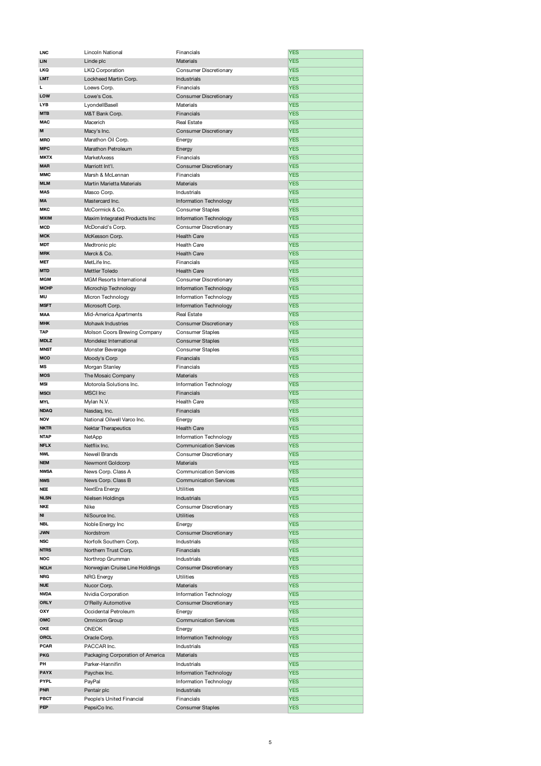| <b>LNC</b>  | Lincoln National                 | Financials                    | <b>YES</b> |
|-------------|----------------------------------|-------------------------------|------------|
| <b>LIN</b>  | Linde plc                        | Materials                     | <b>YES</b> |
| <b>LKQ</b>  | <b>LKQ Corporation</b>           | Consumer Discretionary        | <b>YES</b> |
| <b>LMT</b>  | Lockheed Martin Corp.            | Industrials                   | <b>YES</b> |
| L           |                                  | Financials                    | <b>YES</b> |
|             | Loews Corp.                      |                               |            |
| LOW         | Lowe's Cos.                      | Consumer Discretionary        | <b>YES</b> |
| <b>LYB</b>  | LyondellBasell                   | Materials                     | <b>YES</b> |
| <b>MTB</b>  | M&T Bank Corp.                   | Financials                    | <b>YES</b> |
| <b>MAC</b>  | Macerich                         | <b>Real Estate</b>            | <b>YES</b> |
| M           | Macy's Inc.                      | <b>Consumer Discretionary</b> | <b>YES</b> |
| <b>MRO</b>  | Marathon Oil Corp.               | Energy                        | <b>YES</b> |
| <b>MPC</b>  | Marathon Petroleum               | Energy                        | <b>YES</b> |
| <b>MKTX</b> | MarketAxess                      | Financials                    | <b>YES</b> |
|             |                                  |                               |            |
| <b>MAR</b>  | Marriott Int'l.                  | <b>Consumer Discretionary</b> | <b>YES</b> |
| <b>MMC</b>  | Marsh & McLennan                 | Financials                    | <b>YES</b> |
| <b>MLM</b>  | Martin Marietta Materials        | <b>Materials</b>              | <b>YES</b> |
| <b>MAS</b>  | Masco Corp.                      | Industrials                   | <b>YES</b> |
| <b>MA</b>   | Mastercard Inc.                  | Information Technology        | <b>YES</b> |
| <b>MKC</b>  | McCormick & Co.                  | <b>Consumer Staples</b>       | <b>YES</b> |
| <b>MXIM</b> |                                  |                               | <b>YES</b> |
|             | Maxim Integrated Products Inc    | Information Technology        |            |
| <b>MCD</b>  | McDonald's Corp.                 | Consumer Discretionary        | <b>YES</b> |
| <b>MCK</b>  | McKesson Corp.                   | <b>Health Care</b>            | <b>YES</b> |
| <b>MDT</b>  | Medtronic plc                    | <b>Health Care</b>            | <b>YES</b> |
| <b>MRK</b>  | Merck & Co.                      | <b>Health Care</b>            | <b>YES</b> |
| <b>MET</b>  | MetLife Inc.                     | Financials                    | <b>YES</b> |
| <b>MTD</b>  | Mettler Toledo                   | Health Care                   | <b>YES</b> |
|             |                                  |                               |            |
| <b>MGM</b>  | MGM Resorts International        | Consumer Discretionary        | <b>YES</b> |
| <b>MCHP</b> | Microchip Technology             | Information Technology        | <b>YES</b> |
| MU          | Micron Technology                | Information Technology        | <b>YES</b> |
| <b>MSFT</b> | Microsoft Corp.                  | Information Technology        | <b>YES</b> |
| MAA         | Mid-America Apartments           | <b>Real Estate</b>            | <b>YES</b> |
| <b>MHK</b>  | Mohawk Industries                | Consumer Discretionary        | <b>YES</b> |
| <b>TAP</b>  | Molson Coors Brewing Company     | <b>Consumer Staples</b>       | <b>YES</b> |
|             |                                  |                               |            |
| <b>MDLZ</b> | Mondelez International           | <b>Consumer Staples</b>       | <b>YES</b> |
| <b>MNST</b> | Monster Beverage                 | <b>Consumer Staples</b>       | <b>YES</b> |
| <b>MCO</b>  | Moody's Corp                     | Financials                    | <b>YES</b> |
| MS          | Morgan Stanley                   | Financials                    | <b>YES</b> |
| <b>MOS</b>  | The Mosaic Company               | Materials                     | <b>YES</b> |
| <b>MSI</b>  | Motorola Solutions Inc.          | Information Technology        | <b>YES</b> |
| <b>MSCI</b> | <b>MSCI</b> Inc                  | Financials                    | <b>YES</b> |
| <b>MYL</b>  | Mylan N.V.                       | <b>Health Care</b>            | <b>YES</b> |
|             |                                  |                               |            |
| <b>NDAQ</b> | Nasdaq, Inc.                     | Financials                    | <b>YES</b> |
| <b>NOV</b>  | National Oilwell Varco Inc.      | Energy                        | <b>YES</b> |
| <b>NKTR</b> | <b>Nektar Therapeutics</b>       | <b>Health Care</b>            | <b>YES</b> |
| <b>NTAP</b> | NetApp                           | Information Technology        | <b>YES</b> |
| <b>NFLX</b> | Netflix Inc.                     | <b>Communication Services</b> | <b>YES</b> |
| <b>NWL</b>  | Newell Brands                    | Consumer Discretionary        | <b>YES</b> |
| <b>NEM</b>  | Newmont Goldcorp                 | <b>Materials</b>              | <b>YES</b> |
| <b>NWSA</b> | News Corp. Class A               | <b>Communication Services</b> | <b>YES</b> |
|             |                                  |                               |            |
| <b>NWS</b>  | News Corp. Class B               | <b>Communication Services</b> | <b>YES</b> |
| <b>NEE</b>  | NextEra Energy                   | <b>Utilities</b>              | <b>YES</b> |
| <b>NLSN</b> | Nielsen Holdings                 | <b>Industrials</b>            | <b>YES</b> |
| <b>NKE</b>  | Nike                             | Consumer Discretionary        | <b>YES</b> |
| NI          | NiSource Inc.                    | <b>Utilities</b>              | <b>YES</b> |
| <b>NBL</b>  | Noble Energy Inc                 | Energy                        | <b>YES</b> |
| <b>JWN</b>  | Nordstrom                        | Consumer Discretionary        | <b>YES</b> |
| <b>NSC</b>  | Norfolk Southern Corp.           | Industrials                   | <b>YES</b> |
| <b>NTRS</b> |                                  |                               |            |
|             | Northern Trust Corp.             | Financials                    | <b>YES</b> |
| <b>NOC</b>  | Northrop Grumman                 | Industrials                   | <b>YES</b> |
| <b>NCLH</b> | Norwegian Cruise Line Holdings   | <b>Consumer Discretionary</b> | <b>YES</b> |
| <b>NRG</b>  | NRG Energy                       | Utilities                     | <b>YES</b> |
| <b>NUE</b>  | Nucor Corp.                      | Materials                     | <b>YES</b> |
| <b>NVDA</b> | Nvidia Corporation               | Information Technology        | <b>YES</b> |
| <b>ORLY</b> | O'Reilly Automotive              | Consumer Discretionary        | <b>YES</b> |
| OXY         | Occidental Petroleum             | Energy                        | <b>YES</b> |
| OMC         |                                  |                               |            |
|             | Omnicom Group                    | <b>Communication Services</b> | <b>YES</b> |
| OKE         | <b>ONEOK</b>                     | Energy                        | <b>YES</b> |
| <b>ORCL</b> | Oracle Corp.                     | Information Technology        | <b>YES</b> |
| <b>PCAR</b> | PACCAR Inc.                      | Industrials                   | <b>YES</b> |
| <b>PKG</b>  | Packaging Corporation of America | <b>Materials</b>              | <b>YES</b> |
| PH          | Parker-Hannifin                  | Industrials                   | <b>YES</b> |
| <b>PAYX</b> | Paychex Inc.                     | Information Technology        | <b>YES</b> |
| PYPL        | PayPal                           | Information Technology        | <b>YES</b> |
|             |                                  |                               |            |
| <b>PNR</b>  | Pentair plc                      | Industrials                   | <b>YES</b> |
| PBCT        | People's United Financial        | Financials                    | <b>YES</b> |
| PEP         | PepsiCo Inc.                     | <b>Consumer Staples</b>       | <b>YES</b> |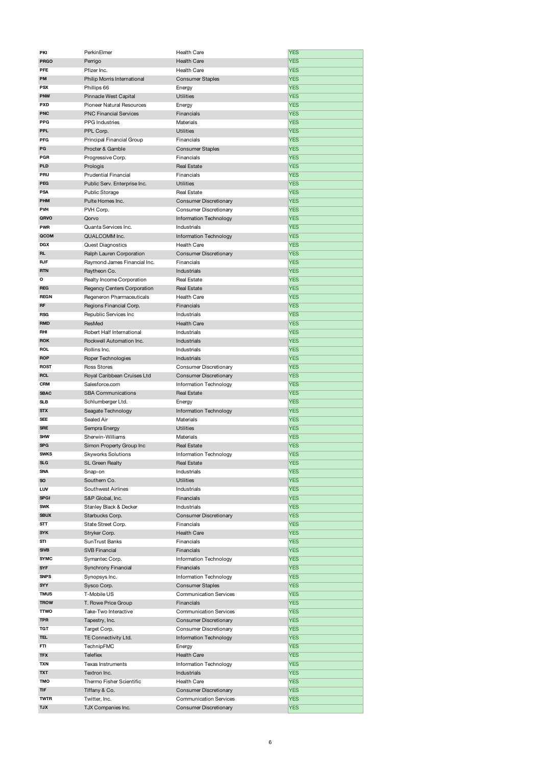| PKI                       | PerkinElmer                         | Health Care                                             | <b>YES</b>               |
|---------------------------|-------------------------------------|---------------------------------------------------------|--------------------------|
| <b>PRGO</b>               | Perrigo                             | <b>Health Care</b>                                      | <b>YES</b>               |
| PFE                       | Pfizer Inc.                         | <b>Health Care</b>                                      | <b>YES</b>               |
| PM                        | Philip Morris International         | <b>Consumer Staples</b>                                 | <b>YES</b>               |
| <b>PSX</b>                | Phillips 66                         | Energy                                                  | <b>YES</b>               |
| <b>PNW</b>                | Pinnacle West Capital               | <b>Utilities</b>                                        | <b>YES</b>               |
|                           |                                     |                                                         |                          |
| <b>PXD</b>                | Pioneer Natural Resources           | Energy                                                  | <b>YES</b>               |
| <b>PNC</b>                | <b>PNC Financial Services</b>       | Financials                                              | <b>YES</b>               |
| <b>PPG</b>                | <b>PPG</b> Industries               | Materials                                               | <b>YES</b>               |
| <b>PPL</b>                | PPL Corp.                           | <b>Utilities</b>                                        | <b>YES</b>               |
| PFG                       | Principal Financial Group           | Financials                                              | <b>YES</b>               |
| PG                        | Procter & Gamble                    | <b>Consumer Staples</b>                                 | <b>YES</b>               |
| PGR                       | Progressive Corp.                   | Financials                                              | <b>YES</b>               |
| <b>PLD</b>                |                                     | <b>Real Estate</b>                                      | <b>YES</b>               |
|                           | Prologis                            |                                                         |                          |
| PRU                       | Prudential Financial                | Financials                                              | <b>YES</b>               |
| <b>PEG</b>                | Public Serv. Enterprise Inc.        | <b>Utilities</b>                                        | <b>YES</b>               |
| PSA                       | <b>Public Storage</b>               | <b>Real Estate</b>                                      | <b>YES</b>               |
| <b>PHM</b>                | Pulte Homes Inc.                    | Consumer Discretionary                                  | <b>YES</b>               |
| <b>PVH</b>                | PVH Corp.                           | Consumer Discretionary                                  | <b>YES</b>               |
| QRVO                      | Qorvo                               | Information Technology                                  | <b>YES</b>               |
| <b>PWR</b>                | Quanta Services Inc.                |                                                         | <b>YES</b>               |
|                           |                                     | Industrials                                             |                          |
| QCOM                      | QUALCOMM Inc.                       | Information Technology                                  | <b>YES</b>               |
| <b>DGX</b>                | <b>Quest Diagnostics</b>            | <b>Health Care</b>                                      | <b>YES</b>               |
| <b>RL</b>                 | Ralph Lauren Corporation            | <b>Consumer Discretionary</b>                           | <b>YES</b>               |
| <b>RJF</b>                | Raymond James Financial Inc.        | Financials                                              | <b>YES</b>               |
| <b>RTN</b>                | Raytheon Co.                        | Industrials                                             | <b>YES</b>               |
| o                         | Realty Income Corporation           | <b>Real Estate</b>                                      | <b>YES</b>               |
|                           |                                     |                                                         |                          |
| <b>REG</b>                | Regency Centers Corporation         | <b>Real Estate</b>                                      | <b>YES</b>               |
| <b>REGN</b>               | Regeneron Pharmaceuticals           | <b>Health Care</b>                                      | <b>YES</b>               |
| <b>RF</b>                 | Regions Financial Corp.             | Financials                                              | <b>YES</b>               |
| <b>RSG</b>                | Republic Services Inc               | Industrials                                             | <b>YES</b>               |
| <b>RMD</b>                | ResMed                              | <b>Health Care</b>                                      | <b>YES</b>               |
| RHI                       | Robert Half International           | Industrials                                             | <b>YES</b>               |
| <b>ROK</b>                | Rockwell Automation Inc.            | Industrials                                             | <b>YES</b>               |
| <b>ROL</b>                |                                     |                                                         |                          |
|                           | Rollins Inc.                        | Industrials                                             | <b>YES</b>               |
| <b>ROP</b>                | Roper Technologies                  | Industrials                                             | <b>YES</b>               |
| <b>ROST</b>               | <b>Ross Stores</b>                  | Consumer Discretionary                                  | <b>YES</b>               |
| <b>RCL</b>                | Royal Caribbean Cruises Ltd         | Consumer Discretionary                                  | <b>YES</b>               |
| <b>CRM</b>                | Salesforce.com                      | Information Technology                                  | <b>YES</b>               |
| <b>SBAC</b>               | <b>SBA Communications</b>           | <b>Real Estate</b>                                      | <b>YES</b>               |
| <b>SLB</b>                | Schlumberger Ltd.                   | Energy                                                  | <b>YES</b>               |
| <b>STX</b>                |                                     |                                                         | <b>YES</b>               |
|                           | Seagate Technology                  | Information Technology                                  |                          |
|                           |                                     |                                                         |                          |
| SEE                       | Sealed Air                          | Materials                                               | <b>YES</b>               |
| <b>SRE</b>                | Sempra Energy                       | <b>Utilities</b>                                        | <b>YES</b>               |
| <b>SHW</b>                | Sherwin-Williams                    | Materials                                               | <b>YES</b>               |
| <b>SPG</b>                | Simon Property Group Inc            | <b>Real Estate</b>                                      | <b>YES</b>               |
| <b>SWKS</b>               | <b>Skyworks Solutions</b>           | Information Technology                                  | <b>YES</b>               |
| <b>SLG</b>                |                                     |                                                         |                          |
| <b>SNA</b>                | SL Green Realty                     | <b>Real Estate</b>                                      | <b>YES</b>               |
|                           | Snap-on                             | Industrials                                             | <b>YES</b>               |
| <b>SO</b>                 | Southern Co.                        | <b>Utilities</b>                                        | <b>YES</b>               |
| LUV                       | Southwest Airlines                  | Industrials                                             | <b>YES</b>               |
| <b>SPGI</b>               | S&P Global, Inc.                    | Financials                                              | <b>YES</b>               |
| <b>SWK</b>                | Stanley Black & Decker              | Industrials                                             | <b>YES</b>               |
| <b>SBUX</b>               | Starbucks Corp.                     | <b>Consumer Discretionary</b>                           | <b>YES</b>               |
| STT                       | State Street Corp.                  | Financials                                              | <b>YES</b>               |
| <b>SYK</b>                | Stryker Corp.                       | Health Care                                             | <b>YES</b>               |
|                           |                                     |                                                         |                          |
| STI                       | SunTrust Banks                      | Financials                                              | <b>YES</b>               |
| <b>SIVB</b>               | <b>SVB Financial</b>                | Financials                                              | <b>YES</b>               |
| <b>SYMC</b>               | Symantec Corp.                      | Information Technology                                  | <b>YES</b>               |
| <b>SYF</b>                | Synchrony Financial                 | Financials                                              | <b>YES</b>               |
| <b>SNPS</b>               | Synopsys Inc.                       | Information Technology                                  | <b>YES</b>               |
| SYY                       | Sysco Corp.                         | <b>Consumer Staples</b>                                 | <b>YES</b>               |
| <b>TMUS</b>               | T-Mobile US                         | <b>Communication Services</b>                           | <b>YES</b>               |
| <b>TROW</b>               | T. Rowe Price Group                 | Financials                                              | <b>YES</b>               |
|                           |                                     |                                                         |                          |
| <b>TTWO</b>               | Take-Two Interactive                | <b>Communication Services</b>                           | <b>YES</b>               |
| <b>TPR</b>                | Tapestry, Inc.                      | Consumer Discretionary                                  | <b>YES</b>               |
| TGT                       | Target Corp.                        | Consumer Discretionary                                  | <b>YES</b>               |
| TEL                       | TE Connectivity Ltd.                | Information Technology                                  | <b>YES</b>               |
| FTI                       | TechnipFMC                          | Energy                                                  | <b>YES</b>               |
| <b>TFX</b>                | <b>Teleflex</b>                     | <b>Health Care</b>                                      | <b>YES</b>               |
| TXN                       | <b>Texas Instruments</b>            | Information Technology                                  | <b>YES</b>               |
| <b>TXT</b>                | Textron Inc.                        |                                                         |                          |
|                           |                                     | Industrials                                             | <b>YES</b>               |
| TMO                       | Thermo Fisher Scientific            | Health Care                                             | <b>YES</b>               |
| TIF                       | Tiffany & Co.                       | <b>Consumer Discretionary</b>                           | <b>YES</b>               |
| <b>TWTR</b><br><b>TJX</b> | Twitter, Inc.<br>TJX Companies Inc. | <b>Communication Services</b><br>Consumer Discretionary | <b>YES</b><br><b>YES</b> |